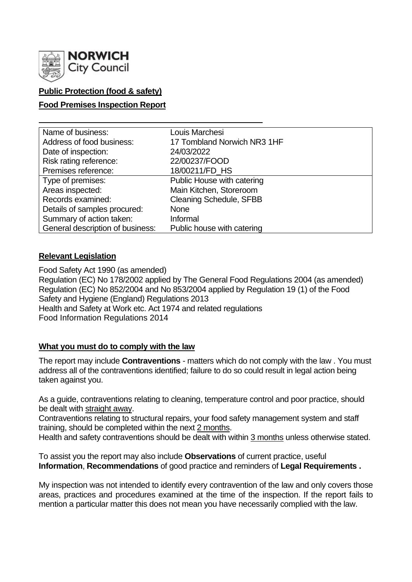

## **Public Protection (food & safety)**

## **Food Premises Inspection Report**

| Name of business:                | Louis Marchesi                 |
|----------------------------------|--------------------------------|
| Address of food business:        | 17 Tombland Norwich NR3 1HF    |
| Date of inspection:              | 24/03/2022                     |
| Risk rating reference:           | 22/00237/FOOD                  |
| Premises reference:              | 18/00211/FD_HS                 |
| Type of premises:                | Public House with catering     |
| Areas inspected:                 | Main Kitchen, Storeroom        |
| Records examined:                | <b>Cleaning Schedule, SFBB</b> |
| Details of samples procured:     | <b>None</b>                    |
| Summary of action taken:         | Informal                       |
| General description of business: | Public house with catering     |

## **Relevant Legislation**

Food Safety Act 1990 (as amended) Regulation (EC) No 178/2002 applied by The General Food Regulations 2004 (as amended) Regulation (EC) No 852/2004 and No 853/2004 applied by Regulation 19 (1) of the Food Safety and Hygiene (England) Regulations 2013 Health and Safety at Work etc. Act 1974 and related regulations Food Information Regulations 2014

## **What you must do to comply with the law**

The report may include **Contraventions** - matters which do not comply with the law . You must address all of the contraventions identified; failure to do so could result in legal action being taken against you.

As a guide, contraventions relating to cleaning, temperature control and poor practice, should be dealt with straight away.

Contraventions relating to structural repairs, your food safety management system and staff training, should be completed within the next 2 months.

Health and safety contraventions should be dealt with within 3 months unless otherwise stated.

To assist you the report may also include **Observations** of current practice, useful **Information**, **Recommendations** of good practice and reminders of **Legal Requirements .**

My inspection was not intended to identify every contravention of the law and only covers those areas, practices and procedures examined at the time of the inspection. If the report fails to mention a particular matter this does not mean you have necessarily complied with the law.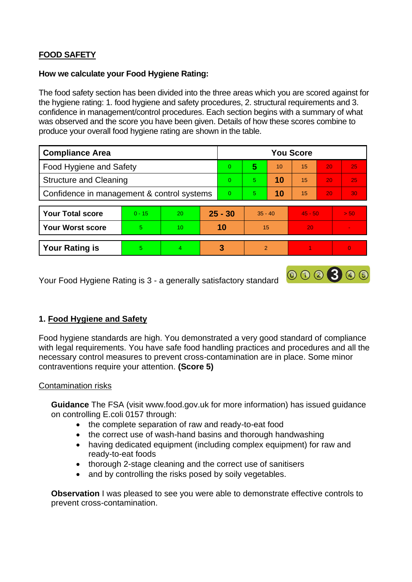# **FOOD SAFETY**

## **How we calculate your Food Hygiene Rating:**

The food safety section has been divided into the three areas which you are scored against for the hygiene rating: 1. food hygiene and safety procedures, 2. structural requirements and 3. confidence in management/control procedures. Each section begins with a summary of what was observed and the score you have been given. Details of how these scores combine to produce your overall food hygiene rating are shown in the table.

| <b>Compliance Area</b>                     |          |    |           | <b>You Score</b> |                |    |           |    |                 |  |
|--------------------------------------------|----------|----|-----------|------------------|----------------|----|-----------|----|-----------------|--|
| <b>Food Hygiene and Safety</b>             |          |    |           | $\overline{0}$   | 5              | 10 | 15        | 20 | 25              |  |
| <b>Structure and Cleaning</b>              |          |    |           | $\Omega$         | 5.             | 10 | 15        | 20 | 25              |  |
| Confidence in management & control systems |          |    |           | $\Omega$         | 5.             | 10 | 15        | 20 | 30 <sub>1</sub> |  |
| <b>Your Total score</b>                    | $0 - 15$ | 20 | $25 - 30$ |                  | $35 - 40$      |    | $45 - 50$ |    | > 50            |  |
| <b>Your Worst score</b>                    | 5        | 10 | 10        |                  | 15             |    | 20        |    | $\blacksquare$  |  |
| <b>Your Rating is</b>                      | 5        | 4  |           | 3                | $\overline{2}$ |    |           |    | $\overline{0}$  |  |

Your Food Hygiene Rating is 3 - a generally satisfactory standard

## **1. Food Hygiene and Safety**

Food hygiene standards are high. You demonstrated a very good standard of compliance with legal requirements. You have safe food handling practices and procedures and all the necessary control measures to prevent cross-contamination are in place. Some minor contraventions require your attention. **(Score 5)**

000300

## Contamination risks

**Guidance** The FSA (visit www.food.gov.uk for more information) has issued guidance on controlling E.coli 0157 through:

- the complete separation of raw and ready-to-eat food
- the correct use of wash-hand basins and thorough handwashing
- having dedicated equipment (including complex equipment) for raw and ready-to-eat foods
- thorough 2-stage cleaning and the correct use of sanitisers
- and by controlling the risks posed by soily vegetables.

**Observation** I was pleased to see you were able to demonstrate effective controls to prevent cross-contamination.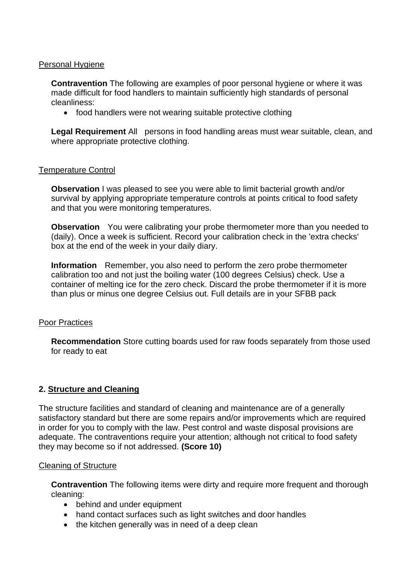## Personal Hygiene

**Contravention** The following are examples of poor personal hygiene or where it was made difficult for food handlers to maintain sufficiently high standards of personal cleanliness:

• food handlers were not wearing suitable protective clothing

**Legal Requirement** All persons in food handling areas must wear suitable, clean, and where appropriate protective clothing.

### Temperature Control

**Observation I** was pleased to see you were able to limit bacterial growth and/or survival by applying appropriate temperature controls at points critical to food safety and that you were monitoring temperatures.

**Observation** You were calibrating your probe thermometer more than you needed to (daily). Once a week is sufficient. Record your calibration check in the 'extra checks' box at the end of the week in your daily diary.

**Information** Remember, you also need to perform the zero probe thermometer calibration too and not just the boiling water (100 degrees Celsius) check. Use a container of melting ice for the zero check. Discard the probe thermometer if it is more than plus or minus one degree Celsius out. Full details are in your SFBB pack

#### Poor Practices

**Recommendation** Store cutting boards used for raw foods separately from those used for ready to eat

## **2. Structure and Cleaning**

The structure facilities and standard of cleaning and maintenance are of a generally satisfactory standard but there are some repairs and/or improvements which are required in order for you to comply with the law. Pest control and waste disposal provisions are adequate. The contraventions require your attention; although not critical to food safety they may become so if not addressed. **(Score 10)**

#### Cleaning of Structure

**Contravention** The following items were dirty and require more frequent and thorough cleaning:

- behind and under equipment
- hand contact surfaces such as light switches and door handles
- the kitchen generally was in need of a deep clean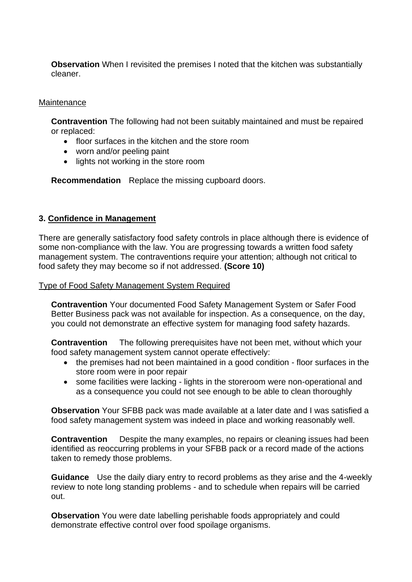**Observation** When I revisited the premises I noted that the kitchen was substantially cleaner.

## **Maintenance**

**Contravention** The following had not been suitably maintained and must be repaired or replaced:

- floor surfaces in the kitchen and the store room
- worn and/or peeling paint
- lights not working in the store room

**Recommendation** Replace the missing cupboard doors.

### **3. Confidence in Management**

There are generally satisfactory food safety controls in place although there is evidence of some non-compliance with the law. You are progressing towards a written food safety management system. The contraventions require your attention; although not critical to food safety they may become so if not addressed. **(Score 10)**

#### Type of Food Safety Management System Required

**Contravention** Your documented Food Safety Management System or Safer Food Better Business pack was not available for inspection. As a consequence, on the day, you could not demonstrate an effective system for managing food safety hazards.

**Contravention** The following prerequisites have not been met, without which your food safety management system cannot operate effectively:

- the premises had not been maintained in a good condition floor surfaces in the store room were in poor repair
- some facilities were lacking lights in the storeroom were non-operational and as a consequence you could not see enough to be able to clean thoroughly

**Observation** Your SFBB pack was made available at a later date and I was satisfied a food safety management system was indeed in place and working reasonably well.

**Contravention** Despite the many examples, no repairs or cleaning issues had been identified as reoccurring problems in your SFBB pack or a record made of the actions taken to remedy those problems.

**Guidance** Use the daily diary entry to record problems as they arise and the 4-weekly review to note long standing problems - and to schedule when repairs will be carried out.

**Observation** You were date labelling perishable foods appropriately and could demonstrate effective control over food spoilage organisms.